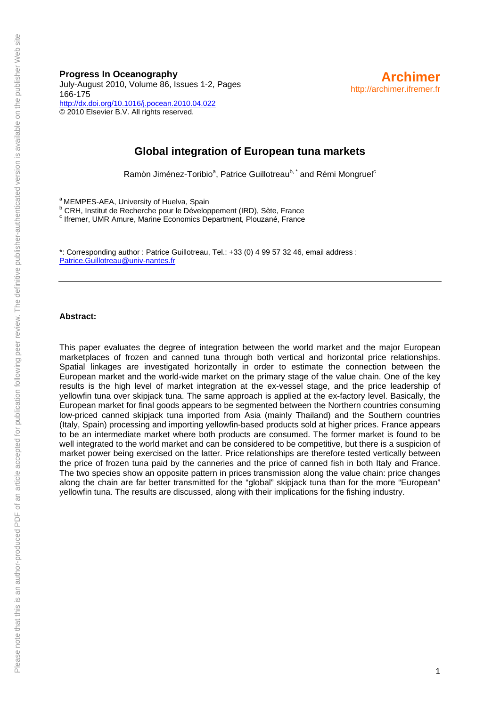# **Progress In Oceanography**

July-August 2010, Volume 86, Issues 1-2, Pages 166-175 <http://dx.doi.org/10.1016/j.pocean.2010.04.022> © 2010 Elsevier B.V. All rights reserved.

### **Global integration of European tuna markets**

Ramòn Jiménez-Toribio<sup>a</sup>, Patrice Guillotreau<sup>b, \*</sup> and Rémi Mongruel<sup>c</sup>

a MEMPES-AEA, University of Huelva, Spain

<sup>b</sup> CRH, Institut de Recherche pour le Développement (IRD), Sète, France<br><sup>c</sup> tremer LIMB Amure, Merine Feanamics Department, Pleugané, France

<sup>c</sup> Ifremer, UMR Amure, Marine Economics Department, Plouzané, France

\*: Corresponding author : Patrice Guillotreau, Tel.: +33 (0) 4 99 57 32 46, email address : [Patrice.Guillotreau@univ-nantes.fr](mailto:Patrice.Guillotreau@univ-nantes.fr)

#### **Abstract:**

This paper evaluates the degree of integration between the world market and the major European marketplaces of frozen and canned tuna through both vertical and horizontal price relationships. Spatial linkages are investigated horizontally in order to estimate the connection between the European market and the world-wide market on the primary stage of the value chain. One of the key results is the high level of market integration at the ex-vessel stage, and the price leadership of yellowfin tuna over skipjack tuna. The same approach is applied at the ex-factory level. Basically, the European market for final goods appears to be segmented between the Northern countries consuming low-priced canned skipjack tuna imported from Asia (mainly Thailand) and the Southern countries (Italy, Spain) processing and importing yellowfin-based products sold at higher prices. France appears to be an intermediate market where both products are consumed. The former market is found to be well integrated to the world market and can be considered to be competitive, but there is a suspicion of market power being exercised on the latter. Price relationships are therefore tested vertically between the price of frozen tuna paid by the canneries and the price of canned fish in both Italy and France. The two species show an opposite pattern in prices transmission along the value chain: price changes along the chain are far better transmitted for the "global" skipjack tuna than for the more "European" yellowfin tuna. The results are discussed, along with their implications for the fishing industry.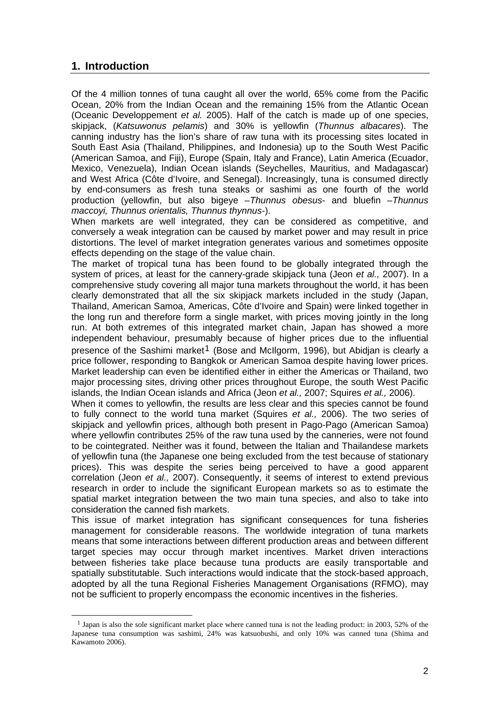# **1. Introduction**

 $\overline{a}$ 

Of the 4 million tonnes of tuna caught all over the world, 65% come from the Pacific Ocean, 20% from the Indian Ocean and the remaining 15% from the Atlantic Ocean (Oceanic Developpement *et al.* 2005). Half of the catch is made up of one species, skipjack, (*Katsuwonus pelamis*) and 30% is yellowfin (*Thunnus albacares*). The canning industry has the lion's share of raw tuna with its processing sites located in South East Asia (Thailand, Philippines, and Indonesia) up to the South West Pacific (American Samoa, and Fiji), Europe (Spain, Italy and France), Latin America (Ecuador, Mexico, Venezuela), Indian Ocean islands (Seychelles, Mauritius, and Madagascar) and West Africa (Côte d'Ivoire, and Senegal). Increasingly, tuna is consumed directly by end-consumers as fresh tuna steaks or sashimi as one fourth of the world production (yellowfin, but also bigeye –*Thunnus obesus*- and bluefin –*Thunnus maccoyi, Thunnus orientalis, Thunnus thynnus*-).

When markets are well integrated, they can be considered as competitive, and conversely a weak integration can be caused by market power and may result in price distortions. The level of market integration generates various and sometimes opposite effects depending on the stage of the value chain.

The market of tropical tuna has been found to be globally integrated through the system of prices, at least for the cannery-grade skipjack tuna (Jeon *et al.,* 2007). In a comprehensive study covering all major tuna markets throughout the world, it has been clearly demonstrated that all the six skipjack markets included in the study (Japan, Thailand, American Samoa, Americas, Côte d'Ivoire and Spain) were linked together in the long run and therefore form a single market, with prices moving jointly in the long run. At both extremes of this integrated market chain, Japan has showed a more independent behaviour, presumably because of higher prices due to the influential presence of the Sashimi market<sup>[1](#page-1-0)</sup> (Bose and McIlgorm, 1996), but Abidjan is clearly a price follower, responding to Bangkok or American Samoa despite having lower prices. Market leadership can even be identified either in either the Americas or Thailand, two major processing sites, driving other prices throughout Europe, the south West Pacific islands, the Indian Ocean islands and Africa (Jeon *et al.,* 2007; Squires *et al.,* 2006).

When it comes to yellowfin, the results are less clear and this species cannot be found to fully connect to the world tuna market (Squires *et al.,* 2006). The two series of skipjack and yellowfin prices, although both present in Pago-Pago (American Samoa) where yellowfin contributes 25% of the raw tuna used by the canneries, were not found to be cointegrated. Neither was it found, between the Italian and Thailandese markets of yellowfin tuna (the Japanese one being excluded from the test because of stationary prices). This was despite the series being perceived to have a good apparent correlation (Jeon *et al.,* 2007). Consequently, it seems of interest to extend previous research in order to include the significant European markets so as to estimate the spatial market integration between the two main tuna species, and also to take into consideration the canned fish markets.

This issue of market integration has significant consequences for tuna fisheries management for considerable reasons. The worldwide integration of tuna markets means that some interactions between different production areas and between different target species may occur through market incentives. Market driven interactions between fisheries take place because tuna products are easily transportable and spatially substitutable. Such interactions would indicate that the stock-based approach, adopted by all the tuna Regional Fisheries Management Organisations (RFMO), may not be sufficient to properly encompass the economic incentives in the fisheries.

<span id="page-1-0"></span><sup>&</sup>lt;sup>1</sup> Japan is also the sole significant market place where canned tuna is not the leading product: in 2003, 52% of the Japanese tuna consumption was sashimi, 24% was katsuobushi, and only 10% was canned tuna (Shima and Kawamoto 2006).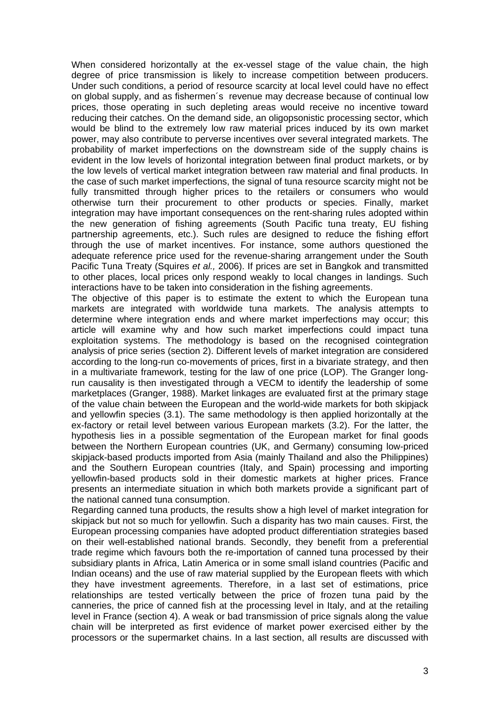When considered horizontally at the ex-vessel stage of the value chain, the high degree of price transmission is likely to increase competition between producers. Under such conditions, a period of resource scarcity at local level could have no effect on global supply, and as fishermen´s revenue may decrease because of continual low prices, those operating in such depleting areas would receive no incentive toward reducing their catches. On the demand side, an oligopsonistic processing sector, which would be blind to the extremely low raw material prices induced by its own market power, may also contribute to perverse incentives over several integrated markets. The probability of market imperfections on the downstream side of the supply chains is evident in the low levels of horizontal integration between final product markets, or by the low levels of vertical market integration between raw material and final products. In the case of such market imperfections, the signal of tuna resource scarcity might not be fully transmitted through higher prices to the retailers or consumers who would otherwise turn their procurement to other products or species. Finally, market integration may have important consequences on the rent-sharing rules adopted within the new generation of fishing agreements (South Pacific tuna treaty, EU fishing partnership agreements, etc.). Such rules are designed to reduce the fishing effort through the use of market incentives. For instance, some authors questioned the adequate reference price used for the revenue-sharing arrangement under the South Pacific Tuna Treaty (Squires *et al.,* 2006). If prices are set in Bangkok and transmitted to other places, local prices only respond weakly to local changes in landings. Such interactions have to be taken into consideration in the fishing agreements.

The objective of this paper is to estimate the extent to which the European tuna markets are integrated with worldwide tuna markets. The analysis attempts to determine where integration ends and where market imperfections may occur; this article will examine why and how such market imperfections could impact tuna exploitation systems. The methodology is based on the recognised cointegration analysis of price series (section 2). Different levels of market integration are considered according to the long-run co-movements of prices, first in a bivariate strategy, and then in a multivariate framework, testing for the law of one price (LOP). The Granger longrun causality is then investigated through a VECM to identify the leadership of some marketplaces (Granger, 1988). Market linkages are evaluated first at the primary stage of the value chain between the European and the world-wide markets for both skipjack and yellowfin species (3.1). The same methodology is then applied horizontally at the ex-factory or retail level between various European markets (3.2). For the latter, the hypothesis lies in a possible segmentation of the European market for final goods between the Northern European countries (UK, and Germany) consuming low-priced skipjack-based products imported from Asia (mainly Thailand and also the Philippines) and the Southern European countries (Italy, and Spain) processing and importing yellowfin-based products sold in their domestic markets at higher prices. France presents an intermediate situation in which both markets provide a significant part of the national canned tuna consumption.

Regarding canned tuna products, the results show a high level of market integration for skipjack but not so much for yellowfin. Such a disparity has two main causes. First, the European processing companies have adopted product differentiation strategies based on their well-established national brands. Secondly, they benefit from a preferential trade regime which favours both the re-importation of canned tuna processed by their subsidiary plants in Africa, Latin America or in some small island countries (Pacific and Indian oceans) and the use of raw material supplied by the European fleets with which they have investment agreements. Therefore, in a last set of estimations, price relationships are tested vertically between the price of frozen tuna paid by the canneries, the price of canned fish at the processing level in Italy, and at the retailing level in France (section 4). A weak or bad transmission of price signals along the value chain will be interpreted as first evidence of market power exercised either by the processors or the supermarket chains. In a last section, all results are discussed with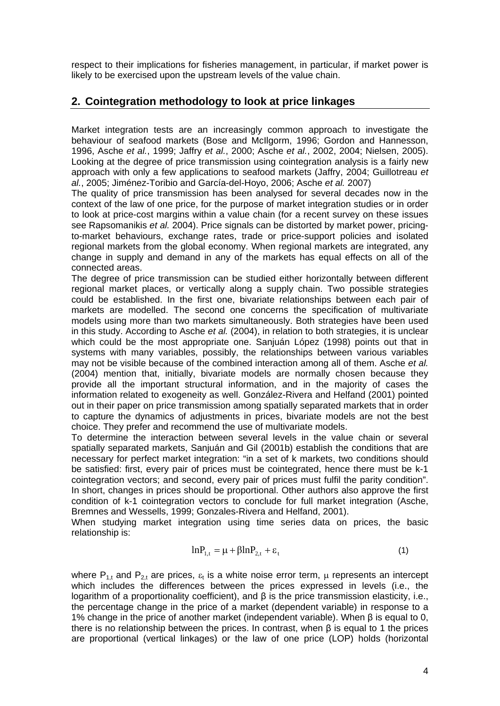respect to their implications for fisheries management, in particular, if market power is likely to be exercised upon the upstream levels of the value chain.

# **2. Cointegration methodology to look at price linkages**

Market integration tests are an increasingly common approach to investigate the behaviour of seafood markets (Bose and McIlgorm, 1996; Gordon and Hannesson, 1996, Asche *et al.*, 1999; Jaffry *et al.*, 2000; Asche *et al.*, 2002, 2004; Nielsen, 2005). Looking at the degree of price transmission using cointegration analysis is a fairly new approach with only a few applications to seafood markets (Jaffry, 2004; Guillotreau *et al.*, 2005; Jiménez-Toribio and García-del-Hoyo, 2006; Asche *et al.* 2007)

The quality of price transmission has been analysed for several decades now in the context of the law of one price, for the purpose of market integration studies or in order to look at price-cost margins within a value chain (for a recent survey on these issues see Rapsomanikis *et al.* 2004). Price signals can be distorted by market power, pricingto-market behaviours, exchange rates, trade or price-support policies and isolated regional markets from the global economy. When regional markets are integrated, any change in supply and demand in any of the markets has equal effects on all of the connected areas.

The degree of price transmission can be studied either horizontally between different regional market places, or vertically along a supply chain. Two possible strategies could be established. In the first one, bivariate relationships between each pair of markets are modelled. The second one concerns the specification of multivariate models using more than two markets simultaneously. Both strategies have been used in this study. According to Asche *et al.* (2004), in relation to both strategies, it is unclear which could be the most appropriate one. Sanjuán López (1998) points out that in systems with many variables, possibly, the relationships between various variables may not be visible because of the combined interaction among all of them. Asche *et al.* (2004) mention that, initially, bivariate models are normally chosen because they provide all the important structural information, and in the majority of cases the information related to exogeneity as well. González-Rivera and Helfand (2001) pointed out in their paper on price transmission among spatially separated markets that in order to capture the dynamics of adjustments in prices, bivariate models are not the best choice. They prefer and recommend the use of multivariate models.

To determine the interaction between several levels in the value chain or several spatially separated markets, Sanjuán and Gil (2001b) establish the conditions that are necessary for perfect market integration: "in a set of k markets, two conditions should be satisfied: first, every pair of prices must be cointegrated, hence there must be k-1 cointegration vectors; and second, every pair of prices must fulfil the parity condition". In short, changes in prices should be proportional. Other authors also approve the first condition of k-1 cointegration vectors to conclude for full market integration (Asche, Bremnes and Wessells, 1999; Gonzales-Rivera and Helfand, 2001).

When studying market integration using time series data on prices, the basic relationship is:

$$
lnP_{1,t} = \mu + \beta lnP_{2,t} + \varepsilon_t
$$
\n(1)

where  $P_{1,t}$  and  $P_{2,t}$  are prices,  $\varepsilon_t$  is a white noise error term,  $\mu$  represents an intercept which includes the differences between the prices expressed in levels (i.e., the logarithm of a proportionality coefficient), and β is the price transmission elasticity, i.e., the percentage change in the price of a market (dependent variable) in response to a 1% change in the price of another market (independent variable). When β is equal to 0, there is no relationship between the prices. In contrast, when β is equal to 1 the prices are proportional (vertical linkages) or the law of one price (LOP) holds (horizontal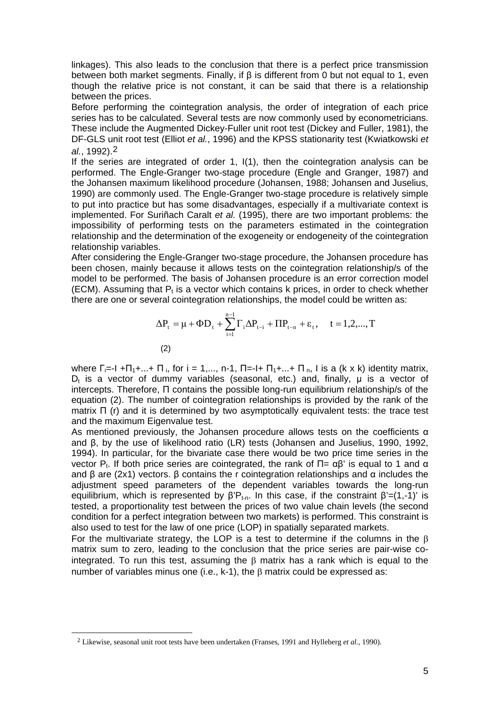linkages). This also leads to the conclusion that there is a perfect price transmission between both market segments. Finally, if β is different from 0 but not equal to 1, even though the relative price is not constant, it can be said that there is a relationship between the prices.

Before performing the cointegration analysis, the order of integration of each price series has to be calculated. Several tests are now commonly used by econometricians. These include the Augmented Dickey-Fuller unit root test (Dickey and Fuller, 1981), the DF-GLS unit root test (Elliot *et al.*, 1996) and the KPSS stationarity test (Kwiatkowski *et al.*, 1992).[2](#page-4-0)

If the series are integrated of order 1, I(1), then the cointegration analysis can be performed. The Engle-Granger two-stage procedure (Engle and Granger, 1987) and the Johansen maximum likelihood procedure (Johansen, 1988; Johansen and Juselius, 1990) are commonly used. The Engle-Granger two-stage procedure is relatively simple to put into practice but has some disadvantages, especially if a multivariate context is implemented. For Suriñach Caralt *et al.* (1995), there are two important problems: the impossibility of performing tests on the parameters estimated in the cointegration relationship and the determination of the exogeneity or endogeneity of the cointegration relationship variables.

After considering the Engle-Granger two-stage procedure, the Johansen procedure has been chosen, mainly because it allows tests on the cointegration relationship/s of the model to be performed. The basis of Johansen procedure is an error correction model (ECM). Assuming that  $P_t$  is a vector which contains k prices, in order to check whether there are one or several cointegration relationships, the model could be written as:

$$
\Delta P_{t} = \mu + \Phi D_{t} + \sum_{i=1}^{n-1} \Gamma_{i} \Delta P_{t-i} + \Pi P_{t-n} + \varepsilon_{t}, \quad t = 1, 2, ..., T
$$
\n(2)

where  $\Gamma_{i=1}$  + $\Pi_{1+}$ ...+  $\Pi_{i}$ , for i = 1,..., n-1,  $\Pi_{i=1}$ +  $\Pi_{1+}$ ...+  $\Pi_{i}$ , l is a (k x k) identity matrix,  $D_t$  is a vector of dummy variables (seasonal, etc.) and, finally,  $\mu$  is a vector of intercepts. Therefore, Π contains the possible long-run equilibrium relationship/s of the equation (2). The number of cointegration relationships is provided by the rank of the matrix Π (r) and it is determined by two asymptotically equivalent tests: the trace test and the maximum Eigenvalue test.

As mentioned previously, the Johansen procedure allows tests on the coefficients α and β, by the use of likelihood ratio (LR) tests (Johansen and Juselius, 1990, 1992, 1994). In particular, for the bivariate case there would be two price time series in the vector P<sub>t</sub>. If both price series are cointegrated, the rank of  $\Pi = \alpha \beta'$  is equal to 1 and  $\alpha$ and β are (2x1) vectors. β contains the r cointegration relationships and  $α$  includes the adjustment speed parameters of the dependent variables towards the long-run equilibrium, which is represented by  $\beta'P_{t-n}$ . In this case, if the constraint  $\beta'=(1,-1)$ ' is tested, a proportionality test between the prices of two value chain levels (the second condition for a perfect integration between two markets) is performed. This constraint is also used to test for the law of one price (LOP) in spatially separated markets.

For the multivariate strategy, the LOP is a test to determine if the columns in the  $\beta$ matrix sum to zero, leading to the conclusion that the price series are pair-wise cointegrated. To run this test, assuming the  $\beta$  matrix has a rank which is equal to the number of variables minus one (i.e.,  $k-1$ ), the  $\beta$  matrix could be expressed as:

<span id="page-4-0"></span>-

<sup>2</sup> Likewise, seasonal unit root tests have been undertaken (Franses, 1991 and Hylleberg *et al.*, 1990).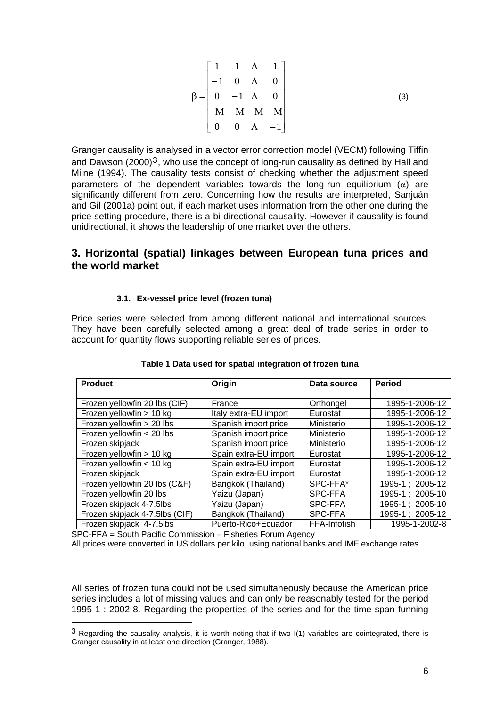$$
\beta = \begin{bmatrix} 1 & 1 & A & 1 \\ -1 & 0 & A & 0 \\ 0 & -1 & A & 0 \\ M & M & M & M \\ 0 & 0 & A & -1 \end{bmatrix}
$$
 (3)

Granger causality is analysed in a vector error correction model (VECM) following Tiffin and Dawson (2000)<sup>[3](#page-5-0)</sup>, who use the concept of long-run causality as defined by Hall and Milne (1994). The causality tests consist of checking whether the adjustment speed parameters of the dependent variables towards the long-run equilibrium  $(\alpha)$  are significantly different from zero. Concerning how the results are interpreted, Sanjuán and Gil (2001a) point out, if each market uses information from the other one during the price setting procedure, there is a bi-directional causality. However if causality is found unidirectional, it shows the leadership of one market over the others.

### **3. Horizontal (spatial) linkages between European tuna prices and the world market**

#### **3.1. Ex-vessel price level (frozen tuna)**

Price series were selected from among different national and international sources. They have been carefully selected among a great deal of trade series in order to account for quantity flows supporting reliable series of prices.

| <b>Product</b>                 | Origin                | Data source  | <b>Period</b>   |  |  |
|--------------------------------|-----------------------|--------------|-----------------|--|--|
|                                |                       |              |                 |  |  |
| Frozen yellowfin 20 lbs (CIF)  | France                | Orthongel    | 1995-1-2006-12  |  |  |
| Frozen yellowfin > 10 kg       | Italy extra-EU import | Eurostat     | 1995-1-2006-12  |  |  |
| Frozen yellowfin > 20 lbs      | Spanish import price  | Ministerio   | 1995-1-2006-12  |  |  |
| Frozen yellowfin < 20 lbs      | Spanish import price  | Ministerio   | 1995-1-2006-12  |  |  |
| Frozen skipjack                | Spanish import price  | Ministerio   | 1995-1-2006-12  |  |  |
| Frozen yellowfin > 10 kg       | Spain extra-EU import | Eurostat     | 1995-1-2006-12  |  |  |
| Frozen yellowfin < 10 kg       | Spain extra-EU import | Eurostat     | 1995-1-2006-12  |  |  |
| Frozen skipjack                | Spain extra-EU import | Eurostat     | 1995-1-2006-12  |  |  |
| Frozen yellowfin 20 lbs (C&F)  | Bangkok (Thailand)    | SPC-FFA*     | 1995-1; 2005-12 |  |  |
| Frozen yellowfin 20 lbs        | Yaizu (Japan)         | SPC-FFA      | 1995-1; 2005-10 |  |  |
| Frozen skipjack 4-7.5lbs       | Yaizu (Japan)         | SPC-FFA      | 1995-1; 2005-10 |  |  |
| Frozen skipjack 4-7.5lbs (CIF) | Bangkok (Thailand)    | SPC-FFA      | 1995-1; 2005-12 |  |  |
| Frozen skipjack 4-7.5lbs       | Puerto-Rico+Ecuador   | FFA-Infofish | 1995-1-2002-8   |  |  |

#### **Table 1 Data used for spatial integration of frozen tuna**

SPC-FFA = South Pacific Commission – Fisheries Forum Agency

1

All prices were converted in US dollars per kilo, using national banks and IMF exchange rates.

All series of frozen tuna could not be used simultaneously because the American price series includes a lot of missing values and can only be reasonably tested for the period 1995-1 : 2002-8. Regarding the properties of the series and for the time span funning

<span id="page-5-0"></span> $3$  Regarding the causality analysis, it is worth noting that if two  $I(1)$  variables are cointegrated, there is Granger causality in at least one direction (Granger, 1988).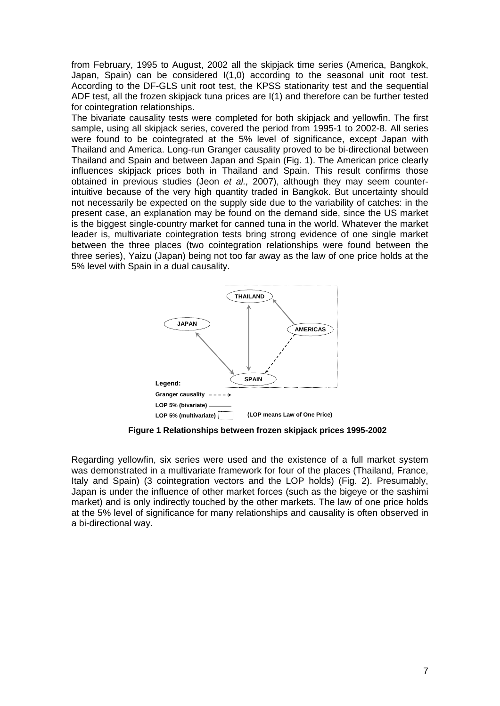from February, 1995 to August, 2002 all the skipjack time series (America, Bangkok, Japan, Spain) can be considered I(1,0) according to the seasonal unit root test. According to the DF-GLS unit root test, the KPSS stationarity test and the sequential ADF test, all the frozen skipjack tuna prices are I(1) and therefore can be further tested for cointegration relationships.

The bivariate causality tests were completed for both skipjack and yellowfin. The first sample, using all skipjack series, covered the period from 1995-1 to 2002-8. All series were found to be cointegrated at the 5% level of significance, except Japan with Thailand and America. Long-run Granger causality proved to be bi-directional between Thailand and Spain and between Japan and Spain (Fig. 1). The American price clearly influences skipjack prices both in Thailand and Spain. This result confirms those obtained in previous studies (Jeon *et al.,* 2007), although they may seem counterintuitive because of the very high quantity traded in Bangkok. But uncertainty should not necessarily be expected on the supply side due to the variability of catches: in the present case, an explanation may be found on the demand side, since the US market is the biggest single-country market for canned tuna in the world. Whatever the market leader is, multivariate cointegration tests bring strong evidence of one single market between the three places (two cointegration relationships were found between the three series), Yaizu (Japan) being not too far away as the law of one price holds at the 5% level with Spain in a dual causality.



**Figure 1 Relationships between frozen skipjack prices 1995-2002**

Regarding yellowfin, six series were used and the existence of a full market system was demonstrated in a multivariate framework for four of the places (Thailand, France, Italy and Spain) (3 cointegration vectors and the LOP holds) (Fig. 2). Presumably, Japan is under the influence of other market forces (such as the bigeye or the sashimi market) and is only indirectly touched by the other markets. The law of one price holds at the 5% level of significance for many relationships and causality is often observed in a bi-directional way.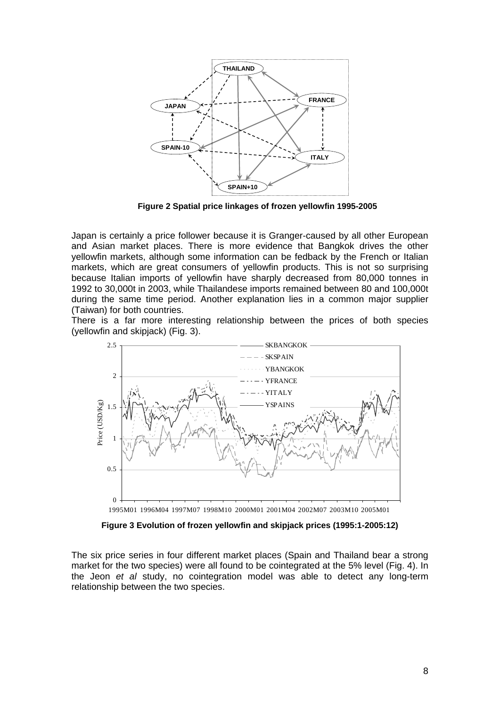

**Figure 2 Spatial price linkages of frozen yellowfin 1995-2005**

Japan is certainly a price follower because it is Granger-caused by all other European and Asian market places. There is more evidence that Bangkok drives the other yellowfin markets, although some information can be fedback by the French or Italian markets, which are great consumers of yellowfin products. This is not so surprising because Italian imports of yellowfin have sharply decreased from 80,000 tonnes in 1992 to 30,000t in 2003, while Thailandese imports remained between 80 and 100,000t during the same time period. Another explanation lies in a common major supplier (Taiwan) for both countries.

There is a far more interesting relationship between the prices of both species (yellowfin and skipjack) (Fig. 3).



1995M01 1996M04 1997M07 1998M10 2000M01 2001M04 2002M07 2003M10 2005M01

**Figure 3 Evolution of frozen yellowfin and skipjack prices (1995:1-2005:12)**

The six price series in four different market places (Spain and Thailand bear a strong market for the two species) were all found to be cointegrated at the 5% level (Fig. 4). In the Jeon *et al* study, no cointegration model was able to detect any long-term relationship between the two species.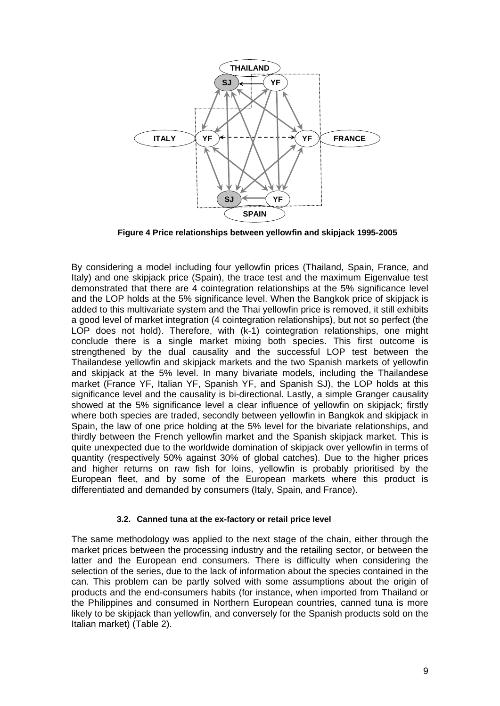

**Figure 4 Price relationships between yellowfin and skipjack 1995-2005**

By considering a model including four yellowfin prices (Thailand, Spain, France, and Italy) and one skipjack price (Spain), the trace test and the maximum Eigenvalue test demonstrated that there are 4 cointegration relationships at the 5% significance level and the LOP holds at the 5% significance level. When the Bangkok price of skipjack is added to this multivariate system and the Thai yellowfin price is removed, it still exhibits a good level of market integration (4 cointegration relationships), but not so perfect (the LOP does not hold). Therefore, with (k-1) cointegration relationships, one might conclude there is a single market mixing both species. This first outcome is strengthened by the dual causality and the successful LOP test between the Thailandese yellowfin and skipjack markets and the two Spanish markets of yellowfin and skipjack at the 5% level. In many bivariate models, including the Thailandese market (France YF, Italian YF, Spanish YF, and Spanish SJ), the LOP holds at this significance level and the causality is bi-directional. Lastly, a simple Granger causality showed at the 5% significance level a clear influence of yellowfin on skipjack; firstly where both species are traded, secondly between yellowfin in Bangkok and skipjack in Spain, the law of one price holding at the 5% level for the bivariate relationships, and thirdly between the French yellowfin market and the Spanish skipjack market. This is quite unexpected due to the worldwide domination of skipjack over yellowfin in terms of quantity (respectively 50% against 30% of global catches). Due to the higher prices and higher returns on raw fish for loins, yellowfin is probably prioritised by the European fleet, and by some of the European markets where this product is differentiated and demanded by consumers (Italy, Spain, and France).

#### **3.2. Canned tuna at the ex-factory or retail price level**

The same methodology was applied to the next stage of the chain, either through the market prices between the processing industry and the retailing sector, or between the latter and the European end consumers. There is difficulty when considering the selection of the series, due to the lack of information about the species contained in the can. This problem can be partly solved with some assumptions about the origin of products and the end-consumers habits (for instance, when imported from Thailand or the Philippines and consumed in Northern European countries, canned tuna is more likely to be skipjack than yellowfin, and conversely for the Spanish products sold on the Italian market) (Table 2).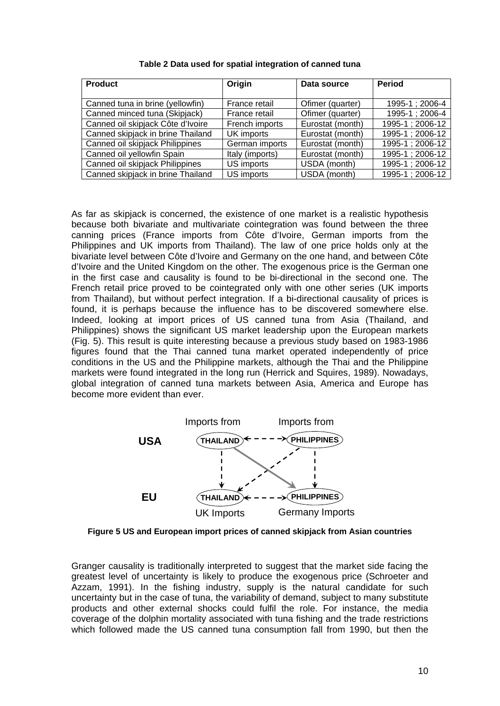| <b>Product</b>                    | Origin          | Data source      | <b>Period</b>   |
|-----------------------------------|-----------------|------------------|-----------------|
|                                   |                 |                  |                 |
| Canned tuna in brine (yellowfin)  | France retail   | Ofimer (quarter) | 1995-1; 2006-4  |
| Canned minced tuna (Skipjack)     | France retail   | Ofimer (quarter) | 1995-1; 2006-4  |
| Canned oil skipjack Côte d'Ivoire | French imports  | Eurostat (month) | 1995-1; 2006-12 |
| Canned skipjack in brine Thailand | UK imports      | Eurostat (month) | 1995-1; 2006-12 |
| Canned oil skipjack Philippines   | German imports  | Eurostat (month) | 1995-1; 2006-12 |
| Canned oil yellowfin Spain        | Italy (imports) | Eurostat (month) | 1995-1; 2006-12 |
| Canned oil skipjack Philippines   | US imports      | USDA (month)     | 1995-1; 2006-12 |
| Canned skipjack in brine Thailand | US imports      | USDA (month)     | 1995-1; 2006-12 |

**Table 2 Data used for spatial integration of canned tuna**

As far as skipjack is concerned, the existence of one market is a realistic hypothesis because both bivariate and multivariate cointegration was found between the three canning prices (France imports from Côte d'Ivoire, German imports from the Philippines and UK imports from Thailand). The law of one price holds only at the bivariate level between Côte d'Ivoire and Germany on the one hand, and between Côte d'Ivoire and the United Kingdom on the other. The exogenous price is the German one in the first case and causality is found to be bi-directional in the second one. The French retail price proved to be cointegrated only with one other series (UK imports from Thailand), but without perfect integration. If a bi-directional causality of prices is found, it is perhaps because the influence has to be discovered somewhere else. Indeed, looking at import prices of US canned tuna from Asia (Thailand, and Philippines) shows the significant US market leadership upon the European markets (Fig. 5). This result is quite interesting because a previous study based on 1983-1986 figures found that the Thai canned tuna market operated independently of price conditions in the US and the Philippine markets, although the Thai and the Philippine markets were found integrated in the long run (Herrick and Squires, 1989). Nowadays, global integration of canned tuna markets between Asia, America and Europe has become more evident than ever.



**Figure 5 US and European import prices of canned skipjack from Asian countries** 

Granger causality is traditionally interpreted to suggest that the market side facing the greatest level of uncertainty is likely to produce the exogenous price (Schroeter and Azzam, 1991). In the fishing industry, supply is the natural candidate for such uncertainty but in the case of tuna, the variability of demand, subject to many substitute products and other external shocks could fulfil the role. For instance, the media coverage of the dolphin mortality associated with tuna fishing and the trade restrictions which followed made the US canned tuna consumption fall from 1990, but then the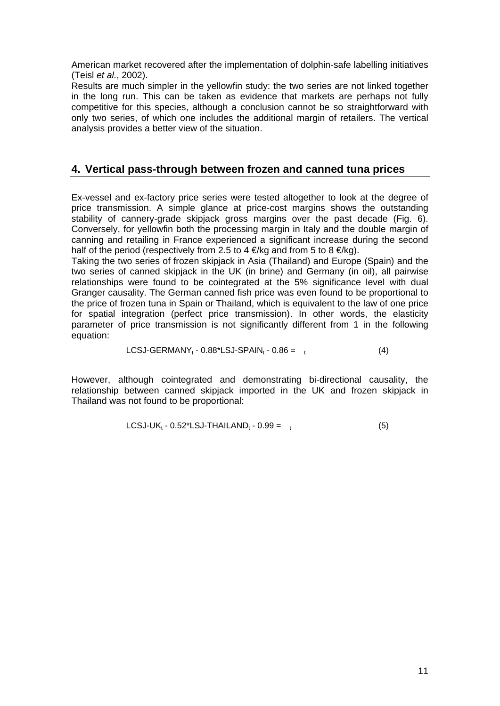American market recovered after the implementation of dolphin-safe labelling initiatives (Teisl *et al.*, 2002).

Results are much simpler in the yellowfin study: the two series are not linked together in the long run. This can be taken as evidence that markets are perhaps not fully competitive for this species, although a conclusion cannot be so straightforward with only two series, of which one includes the additional margin of retailers. The vertical analysis provides a better view of the situation.

# **4. Vertical pass-through between frozen and canned tuna prices**

Ex-vessel and ex-factory price series were tested altogether to look at the degree of price transmission. A simple glance at price-cost margins shows the outstanding stability of cannery-grade skipjack gross margins over the past decade (Fig. 6). Conversely, for yellowfin both the processing margin in Italy and the double margin of canning and retailing in France experienced a significant increase during the second half of the period (respectively from 2.5 to 4  $\in$ /kg and from 5 to 8  $\in$ /kg).

Taking the two series of frozen skipjack in Asia (Thailand) and Europe (Spain) and the two series of canned skipjack in the UK (in brine) and Germany (in oil), all pairwise relationships were found to be cointegrated at the 5% significance level with dual Granger causality. The German canned fish price was even found to be proportional to the price of frozen tuna in Spain or Thailand, which is equivalent to the law of one price for spatial integration (perfect price transmission). In other words, the elasticity parameter of price transmission is not significantly different from 1 in the following equation:

$$
LCSJ-GERMANY_t - 0.88^*LSJ-SPAIN_t - 0.86 = t
$$
 (4)

However, although cointegrated and demonstrating bi-directional causality, the relationship between canned skipjack imported in the UK and frozen skipjack in Thailand was not found to be proportional:

$$
LCSJ-UK_t - 0.52^*LSJ-THAILAND_t - 0.99 = t
$$
 (5)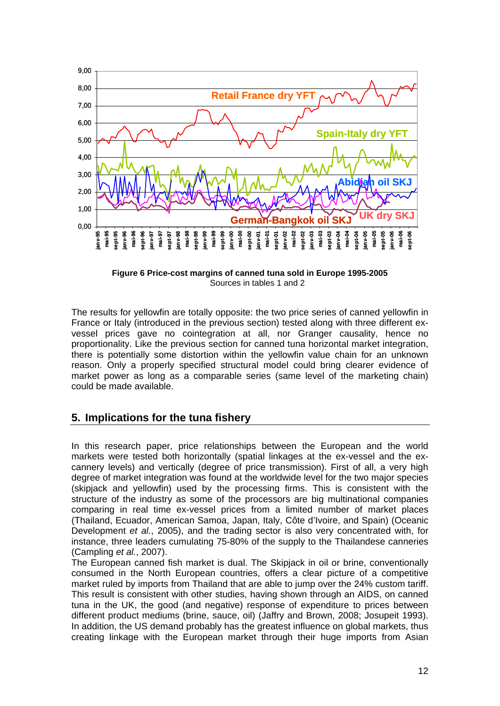

**Figure 6 Price-cost margins of canned tuna sold in Europe 1995-2005**  Sources in tables 1 and 2

The results for yellowfin are totally opposite: the two price series of canned yellowfin in France or Italy (introduced in the previous section) tested along with three different exvessel prices gave no cointegration at all, nor Granger causality, hence no proportionality. Like the previous section for canned tuna horizontal market integration, there is potentially some distortion within the yellowfin value chain for an unknown reason. Only a properly specified structural model could bring clearer evidence of market power as long as a comparable series (same level of the marketing chain) could be made available.

## **5. Implications for the tuna fishery**

In this research paper, price relationships between the European and the world markets were tested both horizontally (spatial linkages at the ex-vessel and the excannery levels) and vertically (degree of price transmission). First of all, a very high degree of market integration was found at the worldwide level for the two major species (skipjack and yellowfin) used by the processing firms. This is consistent with the structure of the industry as some of the processors are big multinational companies comparing in real time ex-vessel prices from a limited number of market places (Thailand, Ecuador, American Samoa, Japan, Italy, Côte d'Ivoire, and Spain) (Oceanic Development *et al.*, 2005), and the trading sector is also very concentrated with, for instance, three leaders cumulating 75-80% of the supply to the Thailandese canneries (Campling *et al.*, 2007).

The European canned fish market is dual. The Skipjack in oil or brine, conventionally consumed in the North European countries, offers a clear picture of a competitive market ruled by imports from Thailand that are able to jump over the 24% custom tariff. This result is consistent with other studies, having shown through an AIDS, on canned tuna in the UK, the good (and negative) response of expenditure to prices between different product mediums (brine, sauce, oil) (Jaffry and Brown, 2008; Josupeit 1993). In addition, the US demand probably has the greatest influence on global markets, thus creating linkage with the European market through their huge imports from Asian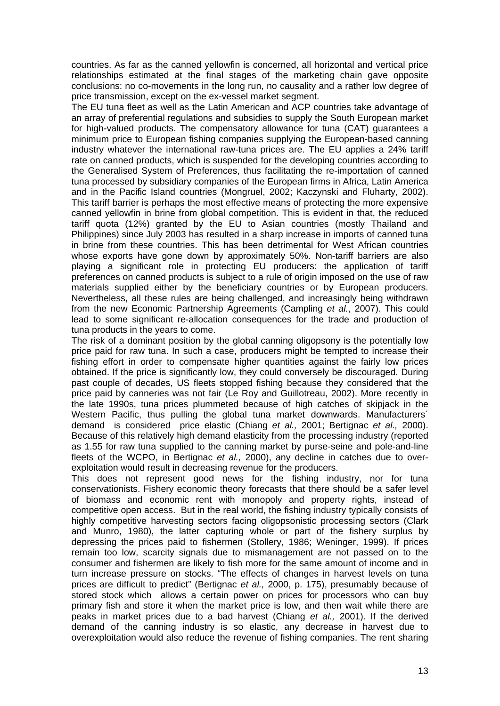countries. As far as the canned yellowfin is concerned, all horizontal and vertical price relationships estimated at the final stages of the marketing chain gave opposite conclusions: no co-movements in the long run, no causality and a rather low degree of price transmission, except on the ex-vessel market segment.

The EU tuna fleet as well as the Latin American and ACP countries take advantage of an array of preferential regulations and subsidies to supply the South European market for high-valued products. The compensatory allowance for tuna (CAT) guarantees a minimum price to European fishing companies supplying the European-based canning industry whatever the international raw-tuna prices are. The EU applies a 24% tariff rate on canned products, which is suspended for the developing countries according to the Generalised System of Preferences, thus facilitating the re-importation of canned tuna processed by subsidiary companies of the European firms in Africa, Latin America and in the Pacific Island countries (Mongruel, 2002; Kaczynski and Fluharty, 2002). This tariff barrier is perhaps the most effective means of protecting the more expensive canned yellowfin in brine from global competition. This is evident in that, the reduced tariff quota (12%) granted by the EU to Asian countries (mostly Thailand and Philippines) since July 2003 has resulted in a sharp increase in imports of canned tuna in brine from these countries. This has been detrimental for West African countries whose exports have gone down by approximately 50%. Non-tariff barriers are also playing a significant role in protecting EU producers: the application of tariff preferences on canned products is subject to a rule of origin imposed on the use of raw materials supplied either by the beneficiary countries or by European producers. Nevertheless, all these rules are being challenged, and increasingly being withdrawn from the new Economic Partnership Agreements (Campling *et al.*, 2007). This could lead to some significant re-allocation consequences for the trade and production of tuna products in the years to come.

The risk of a dominant position by the global canning oligopsony is the potentially low price paid for raw tuna. In such a case, producers might be tempted to increase their fishing effort in order to compensate higher quantities against the fairly low prices obtained. If the price is significantly low, they could conversely be discouraged. During past couple of decades, US fleets stopped fishing because they considered that the price paid by canneries was not fair (Le Roy and Guillotreau, 2002). More recently in the late 1990s, tuna prices plummeted because of high catches of skipjack in the Western Pacific, thus pulling the global tuna market downwards. Manufacturers´ demand is considered price elastic (Chiang *et al.,* 2001; Bertignac *et al.,* 2000). Because of this relatively high demand elasticity from the processing industry (reported as 1.55 for raw tuna supplied to the canning market by purse-seine and pole-and-line fleets of the WCPO, in Bertignac *et al.,* 2000), any decline in catches due to overexploitation would result in decreasing revenue for the producers.

This does not represent good news for the fishing industry, nor for tuna conservationists. Fishery economic theory forecasts that there should be a safer level of biomass and economic rent with monopoly and property rights, instead of competitive open access. But in the real world, the fishing industry typically consists of highly competitive harvesting sectors facing oligopsonistic processing sectors (Clark and Munro, 1980), the latter capturing whole or part of the fishery surplus by depressing the prices paid to fishermen (Stollery, 1986; Weninger, 1999). If prices remain too low, scarcity signals due to mismanagement are not passed on to the consumer and fishermen are likely to fish more for the same amount of income and in turn increase pressure on stocks. "The effects of changes in harvest levels on tuna prices are difficult to predict" (Bertignac *et al.,* 2000, p. 175), presumably because of stored stock which allows a certain power on prices for processors who can buy primary fish and store it when the market price is low, and then wait while there are peaks in market prices due to a bad harvest (Chiang *et al.,* 2001). If the derived demand of the canning industry is so elastic, any decrease in harvest due to overexploitation would also reduce the revenue of fishing companies. The rent sharing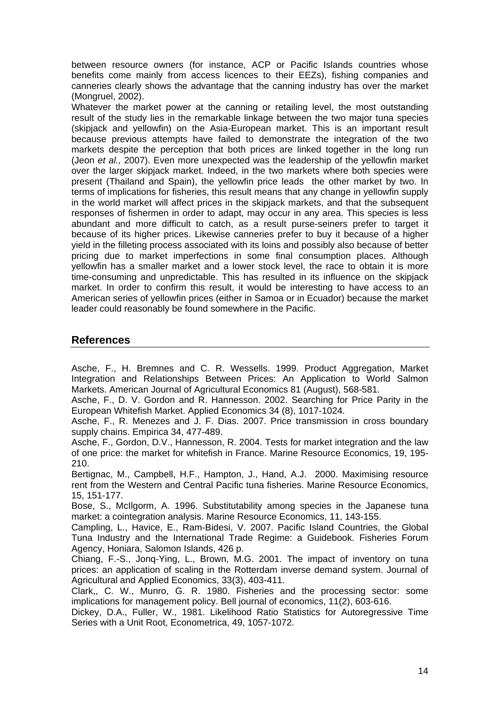between resource owners (for instance, ACP or Pacific Islands countries whose benefits come mainly from access licences to their EEZs), fishing companies and canneries clearly shows the advantage that the canning industry has over the market (Mongruel, 2002).

Whatever the market power at the canning or retailing level, the most outstanding result of the study lies in the remarkable linkage between the two major tuna species (skipjack and yellowfin) on the Asia-European market. This is an important result because previous attempts have failed to demonstrate the integration of the two markets despite the perception that both prices are linked together in the long run (Jeon *et al.,* 2007). Even more unexpected was the leadership of the yellowfin market over the larger skipjack market. Indeed, in the two markets where both species were present (Thailand and Spain), the yellowfin price leads the other market by two. In terms of implications for fisheries, this result means that any change in yellowfin supply in the world market will affect prices in the skipjack markets, and that the subsequent responses of fishermen in order to adapt, may occur in any area. This species is less abundant and more difficult to catch, as a result purse-seiners prefer to target it because of its higher prices. Likewise canneries prefer to buy it because of a higher yield in the filleting process associated with its loins and possibly also because of better pricing due to market imperfections in some final consumption places. Although yellowfin has a smaller market and a lower stock level, the race to obtain it is more time-consuming and unpredictable. This has resulted in its influence on the skipjack market. In order to confirm this result, it would be interesting to have access to an American series of yellowfin prices (either in Samoa or in Ecuador) because the market leader could reasonably be found somewhere in the Pacific.

## **References**

Asche, F., H. Bremnes and C. R. Wessells. 1999. Product Aggregation, Market Integration and Relationships Between Prices: An Application to World Salmon Markets. American Journal of Agricultural Economics 81 (August), 568-581.

Asche, F., D. V. Gordon and R. Hannesson. 2002. Searching for Price Parity in the European Whitefish Market. Applied Economics 34 (8), 1017-1024.

Asche, F., R. Menezes and J. F. Dias. 2007. Price transmission in cross boundary supply chains. Empirica 34, 477-489.

Asche, F., Gordon, D.V., Hannesson, R. 2004. Tests for market integration and the law of one price: the market for whitefish in France. Marine Resource Economics, 19, 195- 210.

Bertignac, M., Campbell, H.F., Hampton, J., Hand, A.J. 2000. Maximising resource rent from the Western and Central Pacific tuna fisheries. Marine Resource Economics, 15, 151-177.

Bose, S., McIlgorm, A. 1996. Substitutability among species in the Japanese tuna market: a cointegration analysis. Marine Resource Economics, 11, 143-155.

Campling, L., Havice, E., Ram-Bidesi, V. 2007. Pacific Island Countries, the Global Tuna Industry and the International Trade Regime: a Guidebook. Fisheries Forum Agency, Honiara, Salomon Islands, 426 p.

Chiang, F.-S., Jonq-Ying, L., Brown, M.G. 2001. The impact of inventory on tuna prices: an application of scaling in the Rotterdam inverse demand system. Journal of Agricultural and Applied Economics, 33(3), 403-411.

Clark,, C. W., Munro, G. R. 1980. Fisheries and the processing sector: some implications for management policy. Bell journal of economics, 11(2), 603-616.

Dickey, D.A., Fuller, W., 1981. Likelihood Ratio Statistics for Autoregressive Time Series with a Unit Root, Econometrica, 49, 1057-1072.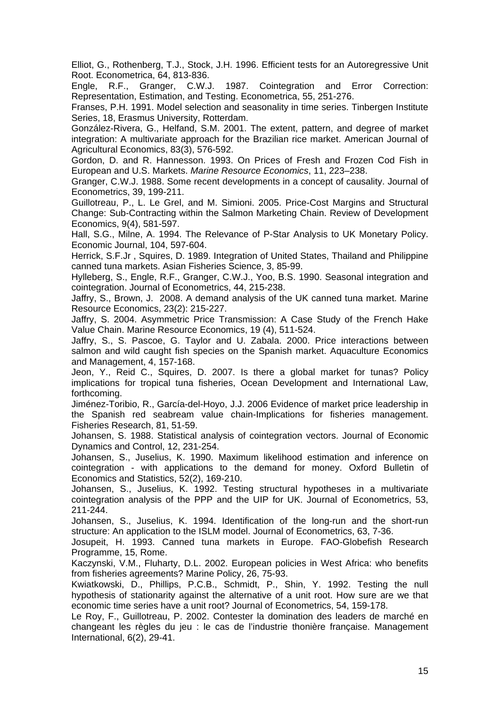Elliot, G., Rothenberg, T.J., Stock, J.H. 1996. Efficient tests for an Autoregressive Unit Root. Econometrica, 64, 813-836.

Engle, R.F., Granger, C.W.J. 1987. Cointegration and Error Correction: Representation, Estimation, and Testing. Econometrica, 55, 251-276.

Franses, P.H. 1991. Model selection and seasonality in time series. Tinbergen Institute Series, 18, Erasmus University, Rotterdam.

González-Rivera, G., Helfand, S.M. 2001. The extent, pattern, and degree of market integration: A multivariate approach for the Brazilian rice market. American Journal of Agricultural Economics, 83(3), 576-592.

Gordon, D. and R. Hannesson. 1993. On Prices of Fresh and Frozen Cod Fish in European and U.S. Markets. *Marine Resource Economics*, 11, 223–238.

Granger, C.W.J. 1988. Some recent developments in a concept of causality. Journal of Econometrics, 39, 199-211.

Guillotreau, P., L. Le Grel, and M. Simioni. 2005. Price-Cost Margins and Structural Change: Sub-Contracting within the Salmon Marketing Chain. Review of Development Economics, 9(4), 581-597.

Hall, S.G., Milne, A. 1994. The Relevance of P-Star Analysis to UK Monetary Policy. Economic Journal, 104, 597-604.

Herrick, S.F.Jr , Squires, D. 1989. Integration of United States, Thailand and Philippine canned tuna markets. Asian Fisheries Science, 3, 85-99.

Hylleberg, S., Engle, R.F., Granger, C.W.J., Yoo, B.S. 1990. Seasonal integration and cointegration. Journal of Econometrics, 44, 215-238.

Jaffry, S., Brown, J. 2008. A demand analysis of the UK canned tuna market. Marine Resource Economics, 23(2): 215-227.

Jaffry, S. 2004. Asymmetric Price Transmission: A Case Study of the French Hake Value Chain. Marine Resource Economics, 19 (4), 511-524.

Jaffry, S., S. Pascoe, G. Taylor and U. Zabala. 2000. Price interactions between salmon and wild caught fish species on the Spanish market. Aquaculture Economics and Management, 4, 157-168.

Jeon, Y., Reid C., Squires, D. 2007. Is there a global market for tunas? Policy implications for tropical tuna fisheries, Ocean Development and International Law, forthcoming.

Jiménez-Toribio, R., García-del-Hoyo, J.J. 2006 Evidence of market price leadership in the Spanish red seabream value chain-Implications for fisheries management. Fisheries Research, 81, 51-59.

Johansen, S. 1988. Statistical analysis of cointegration vectors. Journal of Economic Dynamics and Control, 12, 231-254.

Johansen, S., Juselius, K. 1990. Maximum likelihood estimation and inference on cointegration - with applications to the demand for money. Oxford Bulletin of Economics and Statistics, 52(2), 169-210.

Johansen, S., Juselius, K. 1992. Testing structural hypotheses in a multivariate cointegration analysis of the PPP and the UIP for UK. Journal of Econometrics, 53, 211-244.

Johansen, S., Juselius, K. 1994. Identification of the long-run and the short-run structure: An application to the ISLM model. Journal of Econometrics, 63, 7-36.

Josupeit, H. 1993. Canned tuna markets in Europe. FAO-Globefish Research Programme, 15, Rome.

Kaczynski, V.M., Fluharty, D.L. 2002. European policies in West Africa: who benefits from fisheries agreements? Marine Policy, 26, 75-93.

Kwiatkowski, D., Phillips, P.C.B., Schmidt, P., Shin, Y. 1992. Testing the null hypothesis of stationarity against the alternative of a unit root. How sure are we that economic time series have a unit root? Journal of Econometrics, 54, 159-178.

Le Roy, F., Guillotreau, P. 2002. Contester la domination des leaders de marché en changeant les règles du jeu : le cas de l'industrie thonière française. Management International, 6(2), 29-41.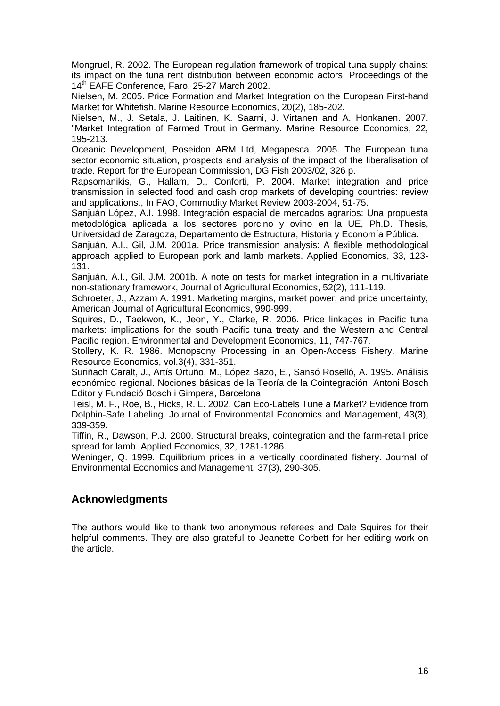Mongruel, R. 2002. The European regulation framework of tropical tuna supply chains: its impact on the tuna rent distribution between economic actors, Proceedings of the 14<sup>th</sup> EAFE Conference, Faro, 25-27 March 2002.

Nielsen, M. 2005. Price Formation and Market Integration on the European First-hand Market for Whitefish. Marine Resource Economics, 20(2), 185-202.

Nielsen, M., J. Setala, J. Laitinen, K. Saarni, J. Virtanen and A. Honkanen. 2007. "Market Integration of Farmed Trout in Germany. Marine Resource Economics, 22, 195-213.

Oceanic Development, Poseidon ARM Ltd, Megapesca. 2005. The European tuna sector economic situation, prospects and analysis of the impact of the liberalisation of trade. Report for the European Commission, DG Fish 2003/02, 326 p.

Rapsomanikis, G., Hallam, D., Conforti, P. 2004. Market integration and price transmission in selected food and cash crop markets of developing countries: review and applications., In FAO, Commodity Market Review 2003-2004, 51-75.

Sanjuán López, A.I. 1998. Integración espacial de mercados agrarios: Una propuesta metodológica aplicada a los sectores porcino y ovino en la UE, Ph.D. Thesis, Universidad de Zaragoza, Departamento de Estructura, Historia y Economía Pública.

Sanjuán, A.I., Gil, J.M. 2001a. Price transmission analysis: A flexible methodological approach applied to European pork and lamb markets. Applied Economics, 33, 123- 131.

Sanjuán, A.I., Gil, J.M. 2001b. A note on tests for market integration in a multivariate non-stationary framework, Journal of Agricultural Economics, 52(2), 111-119.

Schroeter, J., Azzam A. 1991. Marketing margins, market power, and price uncertainty, American Journal of Agricultural Economics, 990-999.

Squires, D., Taekwon, K., Jeon, Y., Clarke, R. 2006. Price linkages in Pacific tuna markets: implications for the south Pacific tuna treaty and the Western and Central Pacific region. Environmental and Development Economics, 11, 747-767.

Stollery, K. R. 1986. Monopsony Processing in an Open-Access Fishery. Marine Resource Economics, vol.3(4), 331-351.

Suriñach Caralt, J., Artís Ortuño, M., López Bazo, E., Sansó Roselló, A. 1995. Análisis económico regional. Nociones básicas de la Teoría de la Cointegración. Antoni Bosch Editor y Fundació Bosch i Gimpera, Barcelona.

Teisl, M. F., Roe, B., Hicks, R. L. 2002. Can Eco-Labels Tune a Market? Evidence from Dolphin-Safe Labeling. Journal of Environmental Economics and Management, 43(3), 339-359.

Tiffin, R., Dawson, P.J. 2000. Structural breaks, cointegration and the farm-retail price spread for lamb. Applied Economics, 32, 1281-1286.

Weninger, Q. 1999. Equilibrium prices in a vertically coordinated fishery. Journal of Environmental Economics and Management, 37(3), 290-305.

## **Acknowledgments**

The authors would like to thank two anonymous referees and Dale Squires for their helpful comments. They are also grateful to Jeanette Corbett for her editing work on the article.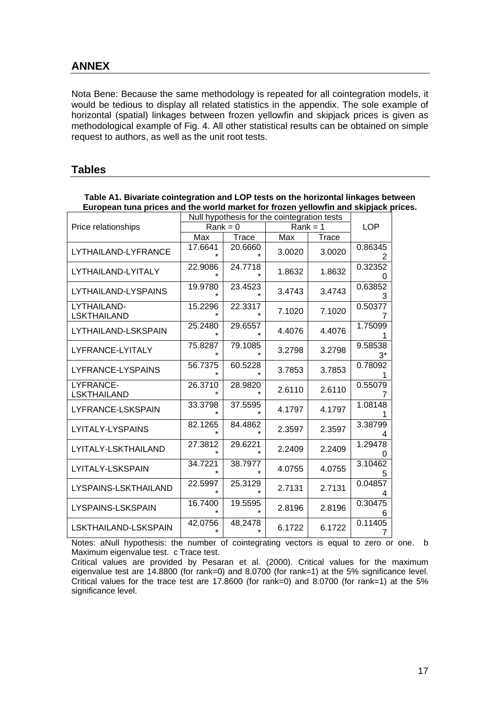# **ANNEX**

Nota Bene: Because the same methodology is repeated for all cointegration models, it would be tedious to display all related statistics in the appendix. The sole example of horizontal (spatial) linkages between frozen yellowfin and skipjack prices is given as methodological example of Fig. 4. All other statistical results can be obtained on simple request to authors, as well as the unit root tests.

### **Tables**

|                                   | Null hypothesis for the cointegration tests |                    |            |            |               |
|-----------------------------------|---------------------------------------------|--------------------|------------|------------|---------------|
| Price relationships               | $Rank = 0$                                  |                    | $Rank = 1$ | <b>LOP</b> |               |
|                                   | Max                                         | Trace              | Max        | Trace      |               |
| LYTHAILAND-LYFRANCE               | 17.6641<br>÷                                | 20.6660            | 3.0020     | 3.0020     | 0.86345       |
| LYTHAILAND-LYITALY                | 22.9086                                     | 24.7718            | 1.8632     | 1.8632     | 0.32352       |
| LYTHAILAND-LYSPAINS               | 19.9780<br>÷                                | 23.4523            | 3.4743     | 3.4743     | 0.63852<br>3  |
| LYTHAILAND-<br><b>LSKTHAILAND</b> | 15.2296                                     | 22.3317            | 7.1020     | 7.1020     | 0.50377       |
| LYTHAILAND-LSKSPAIN               | 25.2480<br>÷                                | 29.6557            | 4.4076     | 4.4076     | 1.75099       |
| LYFRANCE-LYITALY                  | 75.8287<br>$\star$                          | 79.1085            | 3.2798     | 3.2798     | 9.58538<br>3* |
| LYFRANCE-LYSPAINS                 | 56.7375                                     | 60.5228            | 3.7853     | 3.7853     | 0.78092       |
| LYFRANCE-<br><b>LSKTHAILAND</b>   | 26.3710                                     | 28.9820            | 2.6110     | 2.6110     | 0.55079       |
| LYFRANCE-LSKSPAIN                 | 33.3798                                     | 37.5595            | 4.1797     | 4.1797     | 1.08148       |
| LYITALY-LYSPAINS                  | 82.1265                                     | 84.4862<br>$\star$ | 2.3597     | 2.3597     | 3.38799<br>4  |
| LYITALY-LSKTHAILAND               | 27.3812                                     | 29.6221            | 2.2409     | 2.2409     | 1.29478       |
| LYITALY-LSKSPAIN                  | 34.7221                                     | 38.7977            | 4.0755     | 4.0755     | 3.10462       |
| LYSPAINS-LSKTHAILAND              | 22.5997                                     | 25.3129            | 2.7131     | 2.7131     | 0.04857       |
| LYSPAINS-LSKSPAIN                 | 16.7400                                     | 19.5595            | 2.8196     | 2.8196     | 0.30475<br>6  |
| LSKTHAILAND-LSKSPAIN              | 42.0756                                     | 48.2478            | 6.1722     | 6.1722     | 0.11405       |

**Table A1. Bivariate cointegration and LOP tests on the horizontal linkages between European tuna prices and the world market for frozen yellowfin and skipjack prices.** 

Notes: aNull hypothesis: the number of cointegrating vectors is equal to zero or one. b Maximum eigenvalue test. c Trace test.

Critical values are provided by Pesaran et al. (2000). Critical values for the maximum eigenvalue test are 14.8800 (for rank=0) and 8.0700 (for rank=1) at the 5% significance level. Critical values for the trace test are  $17.8600$  (for rank=0) and  $8.0700$  (for rank=1) at the  $5\%$ significance level.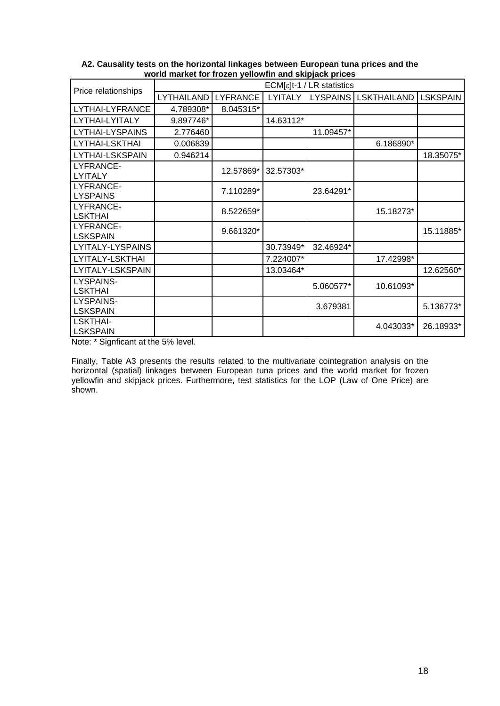| Price relationships                | $ECM[\epsilon]t-1$ / LR statistics |                 |           |                 |                    |                 |  |  |  |  |
|------------------------------------|------------------------------------|-----------------|-----------|-----------------|--------------------|-----------------|--|--|--|--|
|                                    | LYTHAILAND                         | <b>LYFRANCE</b> | LYITALY   | <b>LYSPAINS</b> | <b>LSKTHAILAND</b> | <b>LSKSPAIN</b> |  |  |  |  |
| LYTHAI-LYFRANCE                    | 4.789308*                          | 8.045315*       |           |                 |                    |                 |  |  |  |  |
| LYTHAI-LYITALY                     | 9.897746*                          |                 | 14.63112* |                 |                    |                 |  |  |  |  |
| LYTHAI-LYSPAINS                    | 2.776460                           |                 |           | 11.09457*       |                    |                 |  |  |  |  |
| <b>LYTHAI-LSKTHAI</b>              | 0.006839                           |                 |           |                 | 6.186890*          |                 |  |  |  |  |
| LYTHAI-LSKSPAIN                    | 0.946214                           |                 |           |                 |                    | 18.35075*       |  |  |  |  |
| LYFRANCE-<br><b>LYITALY</b>        |                                    | 12.57869*       | 32.57303* |                 |                    |                 |  |  |  |  |
| LYFRANCE-<br><b>LYSPAINS</b>       |                                    | 7.110289*       |           | 23.64291*       |                    |                 |  |  |  |  |
| LYFRANCE-<br><b>LSKTHAI</b>        |                                    | 8.522659*       |           |                 | 15.18273*          |                 |  |  |  |  |
| LYFRANCE-<br><b>LSKSPAIN</b>       |                                    | 9.661320*       |           |                 |                    | 15.11885*       |  |  |  |  |
| LYITALY-LYSPAINS                   |                                    |                 | 30.73949* | 32.46924*       |                    |                 |  |  |  |  |
| LYITALY-LSKTHAI                    |                                    |                 | 7.224007* |                 | 17.42998*          |                 |  |  |  |  |
| LYITALY-LSKSPAIN                   |                                    |                 | 13.03464* |                 |                    | 12.62560*       |  |  |  |  |
| LYSPAINS-<br><b>LSKTHAI</b>        |                                    |                 |           | 5.060577*       | 10.61093*          |                 |  |  |  |  |
| LYSPAINS-<br><b>LSKSPAIN</b>       |                                    |                 |           | 3.679381        |                    | 5.136773*       |  |  |  |  |
| <b>LSKTHAI-</b><br><b>LSKSPAIN</b> |                                    |                 |           |                 | 4.043033*          | 26.18933*       |  |  |  |  |

**A2. Causality tests on the horizontal linkages between European tuna prices and the world market for frozen yellowfin and skipjack prices** 

Note: \* Signficant at the 5% level.

Finally, Table A3 presents the results related to the multivariate cointegration analysis on the horizontal (spatial) linkages between European tuna prices and the world market for frozen yellowfin and skipjack prices. Furthermore, test statistics for the LOP (Law of One Price) are shown.